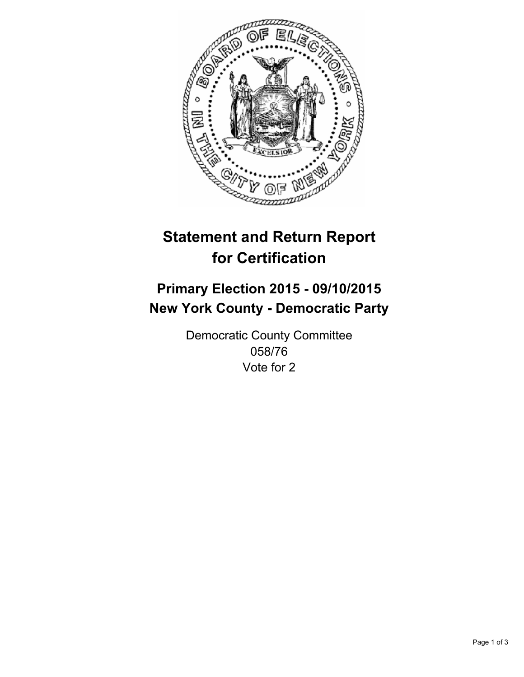

# **Statement and Return Report for Certification**

## **Primary Election 2015 - 09/10/2015 New York County - Democratic Party**

Democratic County Committee 058/76 Vote for 2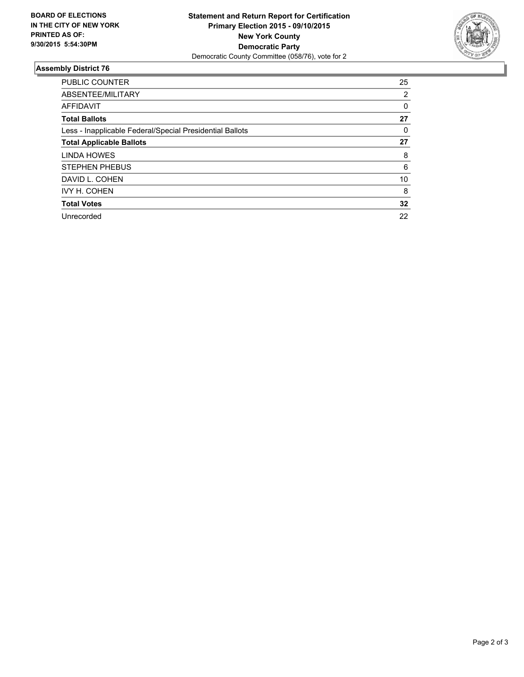

### **Assembly District 76**

| <b>PUBLIC COUNTER</b>                                    | 25 |
|----------------------------------------------------------|----|
| ABSENTEE/MILITARY                                        | 2  |
| <b>AFFIDAVIT</b>                                         | 0  |
| <b>Total Ballots</b>                                     | 27 |
| Less - Inapplicable Federal/Special Presidential Ballots | 0  |
| <b>Total Applicable Ballots</b>                          | 27 |
| LINDA HOWES                                              | 8  |
| <b>STEPHEN PHEBUS</b>                                    | 6  |
| DAVID L. COHEN                                           | 10 |
| <b>IVY H. COHEN</b>                                      | 8  |
| <b>Total Votes</b>                                       | 32 |
| Unrecorded                                               | 22 |